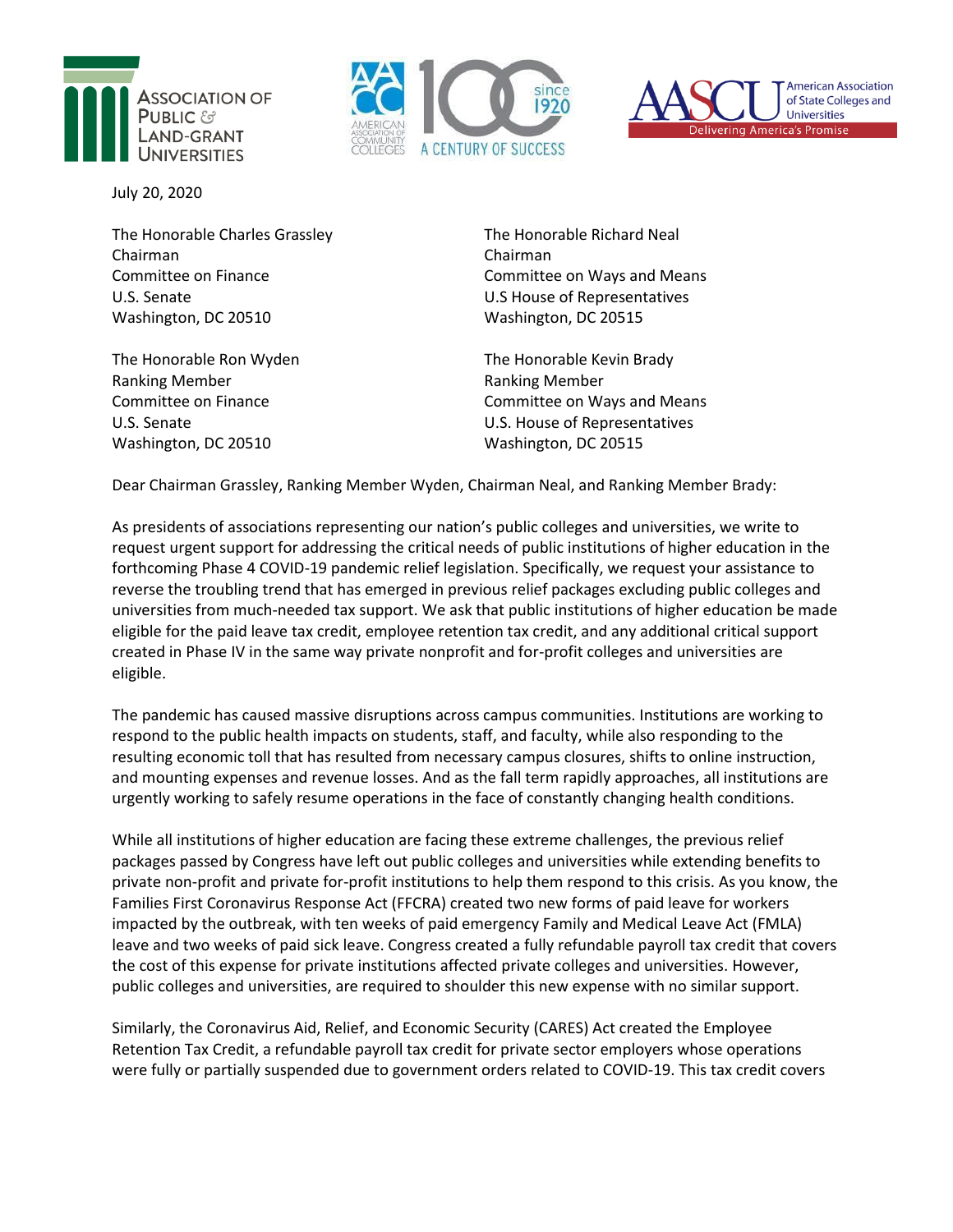





July 20, 2020

The Honorable Charles Grassley Chairman Committee on Finance U.S. Senate Washington, DC 20510

The Honorable Ron Wyden Ranking Member Committee on Finance U.S. Senate Washington, DC 20510

The Honorable Richard Neal Chairman Committee on Ways and Means U.S House of Representatives Washington, DC 20515

The Honorable Kevin Brady Ranking Member Committee on Ways and Means U.S. House of Representatives Washington, DC 20515

Dear Chairman Grassley, Ranking Member Wyden, Chairman Neal, and Ranking Member Brady:

As presidents of associations representing our nation's public colleges and universities, we write to request urgent support for addressing the critical needs of public institutions of higher education in the forthcoming Phase 4 COVID-19 pandemic relief legislation. Specifically, we request your assistance to reverse the troubling trend that has emerged in previous relief packages excluding public colleges and universities from much-needed tax support. We ask that public institutions of higher education be made eligible for the paid leave tax credit, employee retention tax credit, and any additional critical support created in Phase IV in the same way private nonprofit and for-profit colleges and universities are eligible.

The pandemic has caused massive disruptions across campus communities. Institutions are working to respond to the public health impacts on students, staff, and faculty, while also responding to the resulting economic toll that has resulted from necessary campus closures, shifts to online instruction, and mounting expenses and revenue losses. And as the fall term rapidly approaches, all institutions are urgently working to safely resume operations in the face of constantly changing health conditions.

While all institutions of higher education are facing these extreme challenges, the previous relief packages passed by Congress have left out public colleges and universities while extending benefits to private non-profit and private for-profit institutions to help them respond to this crisis. As you know, the Families First Coronavirus Response Act (FFCRA) created two new forms of paid leave for workers impacted by the outbreak, with ten weeks of paid emergency Family and Medical Leave Act (FMLA) leave and two weeks of paid sick leave. Congress created a fully refundable payroll tax credit that covers the cost of this expense for private institutions affected private colleges and universities. However, public colleges and universities, are required to shoulder this new expense with no similar support.

Similarly, the Coronavirus Aid, Relief, and Economic Security (CARES) Act created the Employee Retention Tax Credit, a refundable payroll tax credit for private sector employers whose operations were fully or partially suspended due to government orders related to COVID-19. This tax credit covers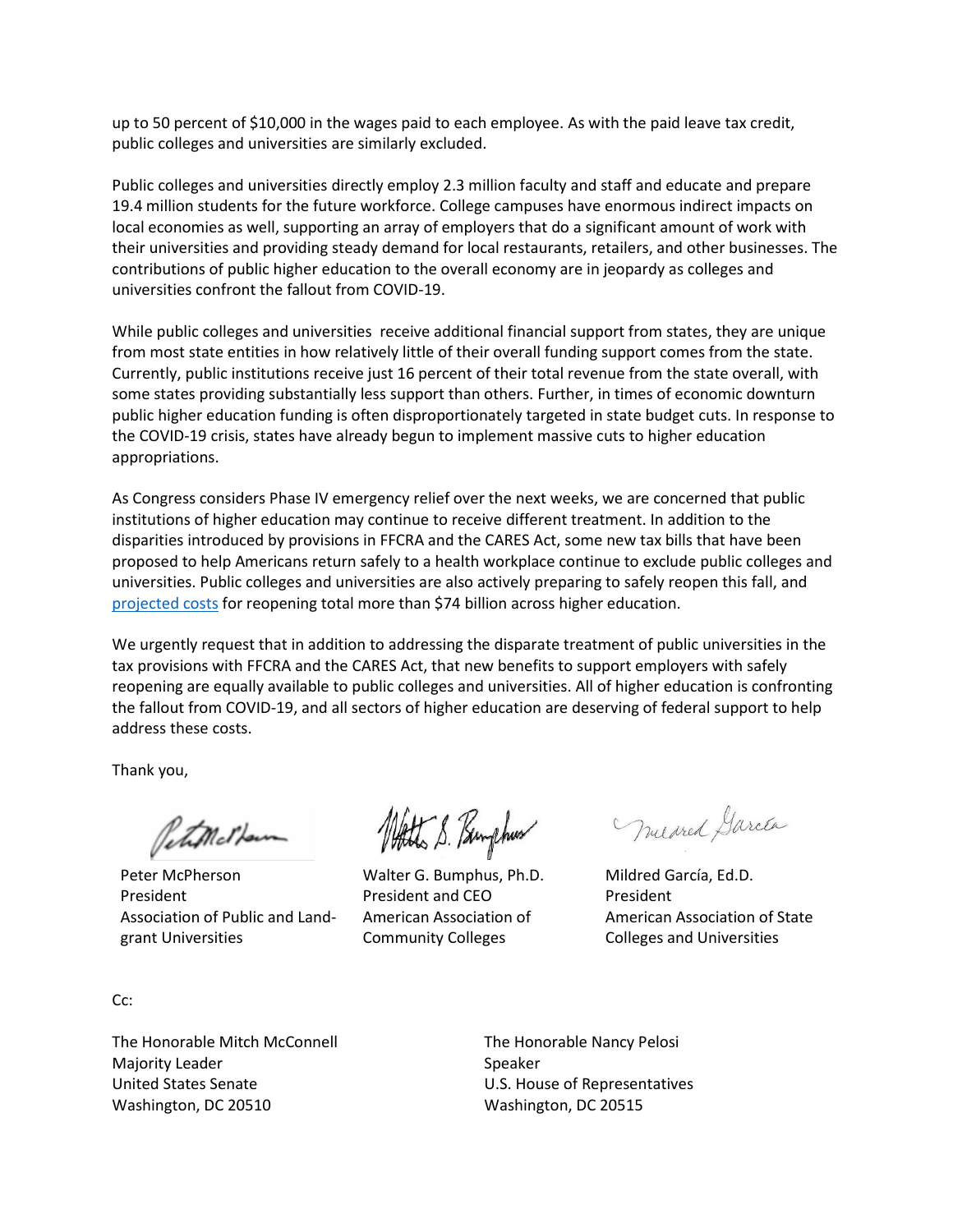up to 50 percent of \$10,000 in the wages paid to each employee. As with the paid leave tax credit, public colleges and universities are similarly excluded.

Public colleges and universities directly employ 2.3 million faculty and staff and educate and prepare 19.4 million students for the future workforce. College campuses have enormous indirect impacts on local economies as well, supporting an array of employers that do a significant amount of work with their universities and providing steady demand for local restaurants, retailers, and other businesses. The contributions of public higher education to the overall economy are in jeopardy as colleges and universities confront the fallout from COVID-19.

While public colleges and universities receive additional financial support from states, they are unique from most state entities in how relatively little of their overall funding support comes from the state. Currently, public institutions receive just 16 percent of their total revenue from the state overall, with some states providing substantially less support than others. Further, in times of economic downturn public higher education funding is often disproportionately targeted in state budget cuts. In response to the COVID-19 crisis, states have already begun to implement massive cuts to higher education appropriations.

As Congress considers Phase IV emergency relief over the next weeks, we are concerned that public institutions of higher education may continue to receive different treatment. In addition to the disparities introduced by provisions in FFCRA and the CARES Act, some new tax bills that have been proposed to help Americans return safely to a health workplace continue to exclude public colleges and universities. Public colleges and universities are also actively preparing to safely reopen this fall, and [projected costs](https://www.aplu.org/members/councils/governmental-affairs/CGA-library/letter-to-senate-help-on-campus-reopening-costs/file) for reopening total more than \$74 billion across higher education.

We urgently request that in addition to addressing the disparate treatment of public universities in the tax provisions with FFCRA and the CARES Act, that new benefits to support employers with safely reopening are equally available to public colleges and universities. All of higher education is confronting the fallout from COVID-19, and all sectors of higher education are deserving of federal support to help address these costs.

Thank you,

Petimother

Peter McPherson President Association of Public and Landgrant Universities

Att S. Pamphus

Walter G. Bumphus, Ph.D. President and CEO American Association of Community Colleges

Mucared García

Mildred García, Ed.D. President American Association of State Colleges and Universities

Cc:

The Honorable Mitch McConnell Majority Leader United States Senate Washington, DC 20510

The Honorable Nancy Pelosi Speaker U.S. House of Representatives Washington, DC 20515